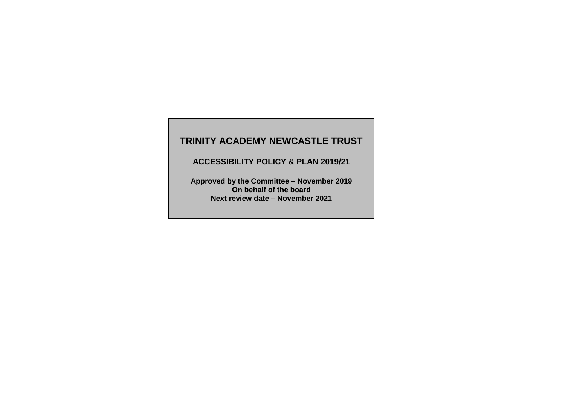# **TRINITY ACADEMY NEWCASTLE TRUST**

**ACCESSIBILITY POLICY & PLAN 2019/21**

**Approved by the Committee – November 2019 On behalf of the board Next review date – November 2021**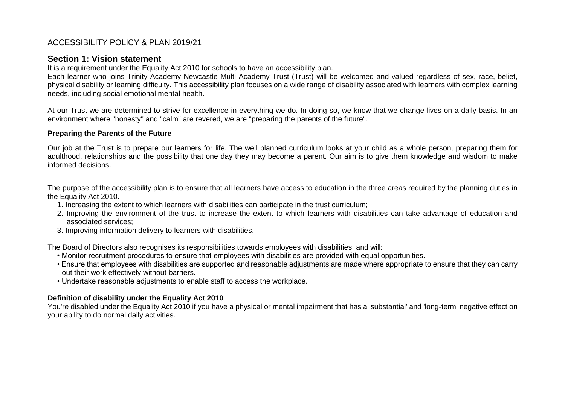# ACCESSIBILITY POLICY & PLAN 2019/21

## **Section 1: Vision statement**

It is a requirement under the Equality Act 2010 for schools to have an accessibility plan.

Each learner who joins Trinity Academy Newcastle Multi Academy Trust (Trust) will be welcomed and valued regardless of sex, race, belief, physical disability or learning difficulty. This accessibility plan focuses on a wide range of disability associated with learners with complex learning needs, including social emotional mental health.

At our Trust we are determined to strive for excellence in everything we do. In doing so, we know that we change lives on a daily basis. In an environment where "honesty" and "calm" are revered, we are "preparing the parents of the future".

### **Preparing the Parents of the Future**

Our job at the Trust is to prepare our learners for life. The well planned curriculum looks at your child as a whole person, preparing them for adulthood, relationships and the possibility that one day they may become a parent. Our aim is to give them knowledge and wisdom to make informed decisions.

The purpose of the accessibility plan is to ensure that all learners have access to education in the three areas required by the planning duties in the Equality Act 2010.

- 1. Increasing the extent to which learners with disabilities can participate in the trust curriculum;
- 2. Improving the environment of the trust to increase the extent to which learners with disabilities can take advantage of education and associated services;
- 3. Improving information delivery to learners with disabilities.

The Board of Directors also recognises its responsibilities towards employees with disabilities, and will:

- Monitor recruitment procedures to ensure that employees with disabilities are provided with equal opportunities.
- Ensure that employees with disabilities are supported and reasonable adjustments are made where appropriate to ensure that they can carry out their work effectively without barriers.
- Undertake reasonable adjustments to enable staff to access the workplace.

## **Definition of disability under the Equality Act 2010**

You're disabled under the Equality Act 2010 if you have a physical or mental impairment that has a 'substantial' and 'long-term' negative effect on your ability to do normal daily activities.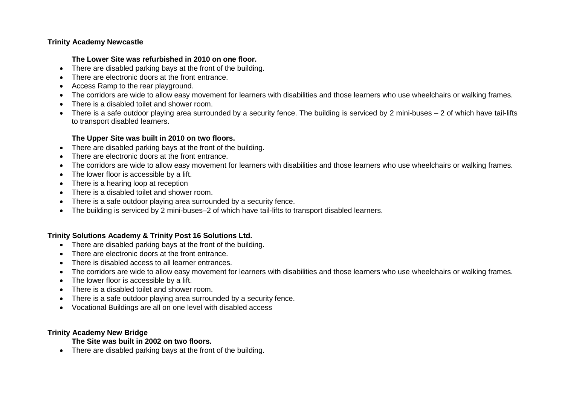### **Trinity Academy Newcastle**

### **The Lower Site was refurbished in 2010 on one floor.**

- There are disabled parking bays at the front of the building.
- There are electronic doors at the front entrance.
- Access Ramp to the rear playground.
- The corridors are wide to allow easy movement for learners with disabilities and those learners who use wheelchairs or walking frames.
- There is a disabled toilet and shower room.
- There is a safe outdoor playing area surrounded by a security fence. The building is serviced by 2 mini-buses 2 of which have tail-lifts to transport disabled learners.

## **The Upper Site was built in 2010 on two floors.**

- There are disabled parking bays at the front of the building.
- There are electronic doors at the front entrance.
- The corridors are wide to allow easy movement for learners with disabilities and those learners who use wheelchairs or walking frames.
- The lower floor is accessible by a lift.
- There is a hearing loop at reception
- There is a disabled toilet and shower room.
- There is a safe outdoor playing area surrounded by a security fence.
- The building is serviced by 2 mini-buses–2 of which have tail-lifts to transport disabled learners.

# **Trinity Solutions Academy & Trinity Post 16 Solutions Ltd.**

- There are disabled parking bays at the front of the building.
- There are electronic doors at the front entrance.
- There is disabled access to all learner entrances.
- The corridors are wide to allow easy movement for learners with disabilities and those learners who use wheelchairs or walking frames.
- The lower floor is accessible by a lift.
- There is a disabled toilet and shower room.
- There is a safe outdoor playing area surrounded by a security fence.
- Vocational Buildings are all on one level with disabled access

### **Trinity Academy New Bridge**

## **The Site was built in 2002 on two floors.**

• There are disabled parking bays at the front of the building.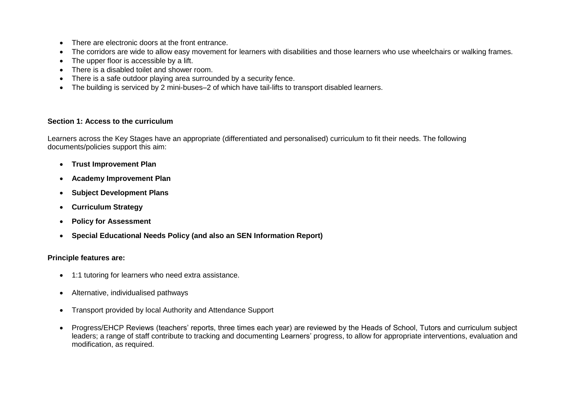- There are electronic doors at the front entrance
- The corridors are wide to allow easy movement for learners with disabilities and those learners who use wheelchairs or walking frames.
- The upper floor is accessible by a lift.
- There is a disabled toilet and shower room.
- There is a safe outdoor playing area surrounded by a security fence.
- The building is serviced by 2 mini-buses–2 of which have tail-lifts to transport disabled learners.

### **Section 1: Access to the curriculum**

Learners across the Key Stages have an appropriate (differentiated and personalised) curriculum to fit their needs. The following documents/policies support this aim:

- **Trust Improvement Plan**
- **Academy Improvement Plan**
- **Subject Development Plans**
- **Curriculum Strategy**
- **Policy for Assessment**
- **Special Educational Needs Policy (and also an SEN Information Report)**

## **Principle features are:**

- 1:1 tutoring for learners who need extra assistance.
- Alternative, individualised pathways
- Transport provided by local Authority and Attendance Support
- Progress/EHCP Reviews (teachers' reports, three times each year) are reviewed by the Heads of School, Tutors and curriculum subject leaders; a range of staff contribute to tracking and documenting Learners' progress, to allow for appropriate interventions, evaluation and modification, as required.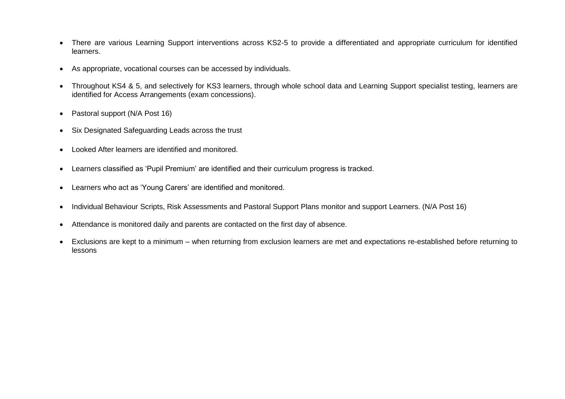- There are various Learning Support interventions across KS2-5 to provide a differentiated and appropriate curriculum for identified learners.
- As appropriate, vocational courses can be accessed by individuals.
- Throughout KS4 & 5, and selectively for KS3 learners, through whole school data and Learning Support specialist testing, learners are identified for Access Arrangements (exam concessions).
- Pastoral support (N/A Post 16)
- Six Designated Safeguarding Leads across the trust
- Looked After learners are identified and monitored.
- Learners classified as 'Pupil Premium' are identified and their curriculum progress is tracked.
- Learners who act as 'Young Carers' are identified and monitored.
- Individual Behaviour Scripts, Risk Assessments and Pastoral Support Plans monitor and support Learners. (N/A Post 16)
- Attendance is monitored daily and parents are contacted on the first day of absence.
- Exclusions are kept to a minimum when returning from exclusion learners are met and expectations re-established before returning to lessons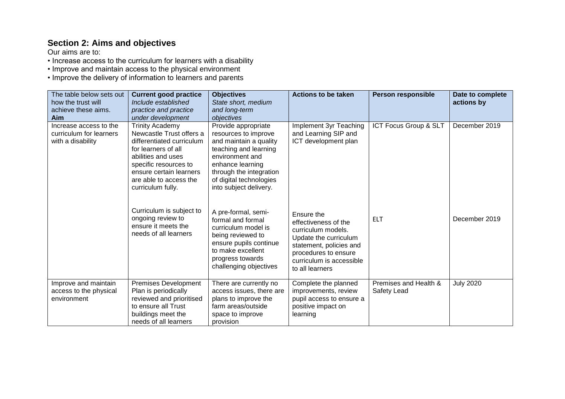# **Section 2: Aims and objectives**

Our aims are to:

• Increase access to the curriculum for learners with a disability

• Improve and maintain access to the physical environment

• Improve the delivery of information to learners and parents

| The table below sets out<br>how the trust will<br>achieve these aims.<br>Aim | <b>Current good practice</b><br>Include established<br>practice and practice<br>under development                                                                                                                               | <b>Objectives</b><br>State short, medium<br>and long-term<br>objectives                                                                                                                                               | Actions to be taken                                                                                                                                                                 | Person responsible                   | Date to complete<br>actions by |
|------------------------------------------------------------------------------|---------------------------------------------------------------------------------------------------------------------------------------------------------------------------------------------------------------------------------|-----------------------------------------------------------------------------------------------------------------------------------------------------------------------------------------------------------------------|-------------------------------------------------------------------------------------------------------------------------------------------------------------------------------------|--------------------------------------|--------------------------------|
| Increase access to the<br>curriculum for learners<br>with a disability       | <b>Trinity Academy</b><br>Newcastle Trust offers a<br>differentiated curriculum<br>for learners of all<br>abilities and uses<br>specific resources to<br>ensure certain learners<br>are able to access the<br>curriculum fully. | Provide appropriate<br>resources to improve<br>and maintain a quality<br>teaching and learning<br>environment and<br>enhance learning<br>through the integration<br>of digital technologies<br>into subject delivery. | Implement 3yr Teaching<br>and Learning SIP and<br>ICT development plan                                                                                                              | ICT Focus Group & SLT                | December 2019                  |
|                                                                              | Curriculum is subject to<br>ongoing review to<br>ensure it meets the<br>needs of all learners                                                                                                                                   | A pre-formal, semi-<br>formal and formal<br>curriculum model is<br>being reviewed to<br>ensure pupils continue<br>to make excellent<br>progress towards<br>challenging objectives                                     | Ensure the<br>effectiveness of the<br>curriculum models.<br>Update the curriculum<br>statement, policies and<br>procedures to ensure<br>curriculum is accessible<br>to all learners | <b>ELT</b>                           | December 2019                  |
| Improve and maintain<br>access to the physical<br>environment                | <b>Premises Development</b><br>Plan is periodically<br>reviewed and prioritised<br>to ensure all Trust<br>buildings meet the<br>needs of all learners                                                                           | There are currently no<br>access issues, there are<br>plans to improve the<br>farm areas/outside<br>space to improve<br>provision                                                                                     | Complete the planned<br>improvements, review<br>pupil access to ensure a<br>positive impact on<br>learning                                                                          | Premises and Health &<br>Safety Lead | <b>July 2020</b>               |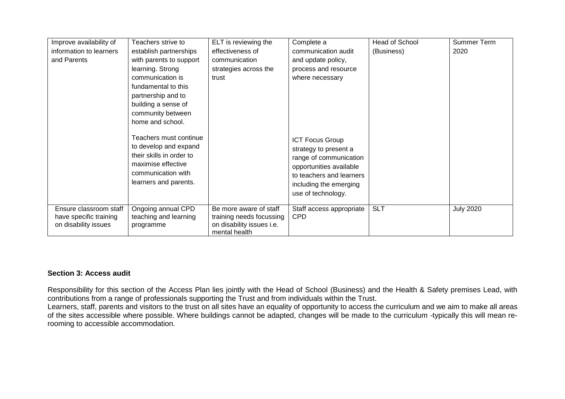| Improve availability of | Teachers strive to                                                                                                                               | ELT is reviewing the                       | Complete a                                                                                                                                                                       | <b>Head of School</b> | <b>Summer Term</b> |
|-------------------------|--------------------------------------------------------------------------------------------------------------------------------------------------|--------------------------------------------|----------------------------------------------------------------------------------------------------------------------------------------------------------------------------------|-----------------------|--------------------|
| information to learners | establish partnerships                                                                                                                           | effectiveness of                           | communication audit                                                                                                                                                              | (Business)            | 2020               |
| and Parents             | with parents to support                                                                                                                          | communication                              | and update policy,                                                                                                                                                               |                       |                    |
|                         | learning. Strong                                                                                                                                 | strategies across the                      | process and resource                                                                                                                                                             |                       |                    |
|                         | communication is                                                                                                                                 | trust                                      | where necessary                                                                                                                                                                  |                       |                    |
|                         | fundamental to this                                                                                                                              |                                            |                                                                                                                                                                                  |                       |                    |
|                         | partnership and to                                                                                                                               |                                            |                                                                                                                                                                                  |                       |                    |
|                         | building a sense of                                                                                                                              |                                            |                                                                                                                                                                                  |                       |                    |
|                         | community between                                                                                                                                |                                            |                                                                                                                                                                                  |                       |                    |
|                         | home and school.                                                                                                                                 |                                            |                                                                                                                                                                                  |                       |                    |
|                         | Teachers must continue<br>to develop and expand<br>their skills in order to<br>maximise effective<br>communication with<br>learners and parents. |                                            | <b>ICT Focus Group</b><br>strategy to present a<br>range of communication<br>opportunities available<br>to teachers and learners<br>including the emerging<br>use of technology. |                       |                    |
| Ensure classroom staff  | Ongoing annual CPD                                                                                                                               | Be more aware of staff                     | Staff access appropriate                                                                                                                                                         | <b>SLT</b>            | <b>July 2020</b>   |
| have specific training  | teaching and learning                                                                                                                            | training needs focussing                   | <b>CPD</b>                                                                                                                                                                       |                       |                    |
| on disability issues    | programme                                                                                                                                        | on disability issues i.e.<br>mental health |                                                                                                                                                                                  |                       |                    |

### **Section 3: Access audit**

Responsibility for this section of the Access Plan lies jointly with the Head of School (Business) and the Health & Safety premises Lead, with contributions from a range of professionals supporting the Trust and from individuals within the Trust.

Learners, staff, parents and visitors to the trust on all sites have an equality of opportunity to access the curriculum and we aim to make all areas of the sites accessible where possible. Where buildings cannot be adapted, changes will be made to the curriculum -typically this will mean rerooming to accessible accommodation.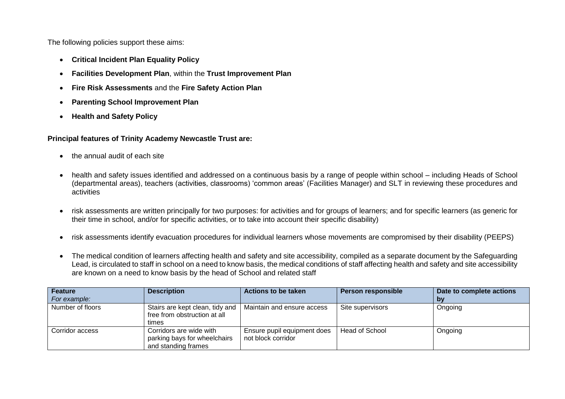The following policies support these aims:

- **Critical Incident Plan Equality Policy**
- **Facilities Development Plan**, within the **Trust Improvement Plan**
- **Fire Risk Assessments** and the **Fire Safety Action Plan**
- **Parenting School Improvement Plan**
- **Health and Safety Policy**

### **Principal features of Trinity Academy Newcastle Trust are:**

- the annual audit of each site
- health and safety issues identified and addressed on a continuous basis by a range of people within school including Heads of School (departmental areas), teachers (activities, classrooms) 'common areas' (Facilities Manager) and SLT in reviewing these procedures and activities
- risk assessments are written principally for two purposes: for activities and for groups of learners; and for specific learners (as generic for their time in school, and/or for specific activities, or to take into account their specific disability)
- risk assessments identify evacuation procedures for individual learners whose movements are compromised by their disability (PEEPS)
- The medical condition of learners affecting health and safety and site accessibility, compiled as a separate document by the Safeguarding Lead, is circulated to staff in school on a need to know basis, the medical conditions of staff affecting health and safety and site accessibility are known on a need to know basis by the head of School and related staff

| <b>Feature</b>   | <b>Description</b>                                                             | Actions to be taken                               | <b>Person responsible</b> | Date to complete actions |
|------------------|--------------------------------------------------------------------------------|---------------------------------------------------|---------------------------|--------------------------|
| For example:     |                                                                                |                                                   |                           | bv                       |
| Number of floors | Stairs are kept clean, tidy and<br>free from obstruction at all<br>times       | Maintain and ensure access                        | Site supervisors          | Ongoing                  |
| Corridor access  | Corridors are wide with<br>parking bays for wheelchairs<br>and standing frames | Ensure pupil equipment does<br>not block corridor | Head of School            | Ongoing                  |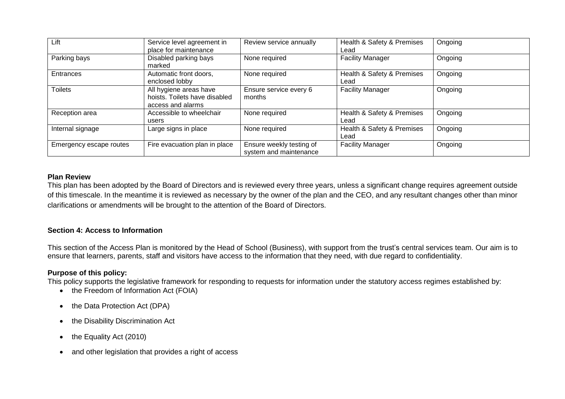| Lift                    | Service level agreement in<br>place for maintenance                          | Review service annually                            | Health & Safety & Premises<br>Lead | Ongoing |
|-------------------------|------------------------------------------------------------------------------|----------------------------------------------------|------------------------------------|---------|
| Parking bays            | Disabled parking bays<br>marked                                              | None required                                      | <b>Facility Manager</b>            | Ongoing |
| Entrances               | Automatic front doors,<br>enclosed lobby                                     | None required                                      | Health & Safety & Premises<br>Lead | Ongoing |
| <b>Toilets</b>          | All hygiene areas have<br>hoists. Toilets have disabled<br>access and alarms | Ensure service every 6<br>months                   | <b>Facility Manager</b>            | Ongoing |
| Reception area          | Accessible to wheelchair<br>users                                            | None required                                      | Health & Safety & Premises<br>Lead | Ongoing |
| Internal signage        | Large signs in place                                                         | None required                                      | Health & Safety & Premises<br>Lead | Ongoing |
| Emergency escape routes | Fire evacuation plan in place                                                | Ensure weekly testing of<br>system and maintenance | <b>Facility Manager</b>            | Ongoing |

### **Plan Review**

This plan has been adopted by the Board of Directors and is reviewed every three years, unless a significant change requires agreement outside of this timescale. In the meantime it is reviewed as necessary by the owner of the plan and the CEO, and any resultant changes other than minor clarifications or amendments will be brought to the attention of the Board of Directors.

## **Section 4: Access to Information**

This section of the Access Plan is monitored by the Head of School (Business), with support from the trust's central services team. Our aim is to ensure that learners, parents, staff and visitors have access to the information that they need, with due regard to confidentiality.

## **Purpose of this policy:**

This policy supports the legislative framework for responding to requests for information under the statutory access regimes established by:

- the Freedom of Information Act (FOIA)
- the Data Protection Act (DPA)
- the Disability Discrimination Act
- the Equality Act (2010)
- and other legislation that provides a right of access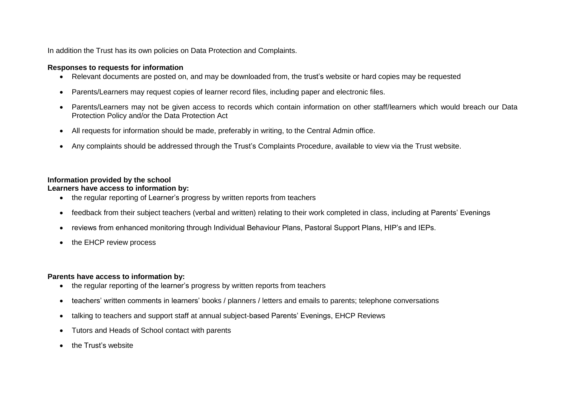In addition the Trust has its own policies on Data Protection and Complaints.

### **Responses to requests for information**

- Relevant documents are posted on, and may be downloaded from, the trust's website or hard copies may be requested
- Parents/Learners may request copies of learner record files, including paper and electronic files.
- Parents/Learners may not be given access to records which contain information on other staff/learners which would breach our Data Protection Policy and/or the Data Protection Act
- All requests for information should be made, preferably in writing, to the Central Admin office.
- Any complaints should be addressed through the Trust's Complaints Procedure, available to view via the Trust website.

## **Information provided by the school**

## **Learners have access to information by:**

- the regular reporting of Learner's progress by written reports from teachers
- feedback from their subject teachers (verbal and written) relating to their work completed in class, including at Parents' Evenings
- reviews from enhanced monitoring through Individual Behaviour Plans, Pastoral Support Plans, HIP's and IEPs.
- the EHCP review process

# **Parents have access to information by:**

- the regular reporting of the learner's progress by written reports from teachers
- teachers' written comments in learners' books / planners / letters and emails to parents; telephone conversations
- talking to teachers and support staff at annual subject-based Parents' Evenings, EHCP Reviews
- Tutors and Heads of School contact with parents
- the Trust's website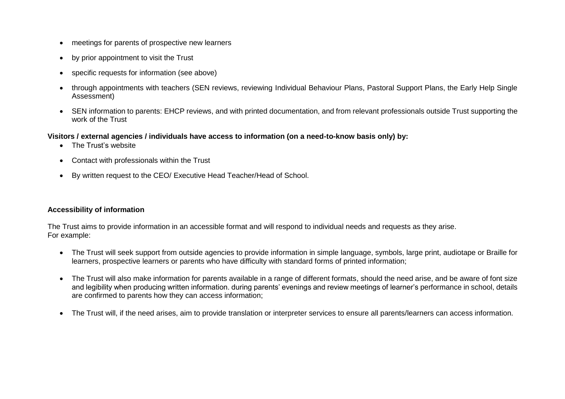- meetings for parents of prospective new learners
- by prior appointment to visit the Trust
- specific requests for information (see above)
- through appointments with teachers (SEN reviews, reviewing Individual Behaviour Plans, Pastoral Support Plans, the Early Help Single Assessment)
- SEN information to parents: EHCP reviews, and with printed documentation, and from relevant professionals outside Trust supporting the work of the Trust

## **Visitors / external agencies / individuals have access to information (on a need-to-know basis only) by:**

- The Trust's website
- Contact with professionals within the Trust
- By written request to the CEO/ Executive Head Teacher/Head of School.

### **Accessibility of information**

The Trust aims to provide information in an accessible format and will respond to individual needs and requests as they arise. For example:

- The Trust will seek support from outside agencies to provide information in simple language, symbols, large print, audiotape or Braille for learners, prospective learners or parents who have difficulty with standard forms of printed information;
- The Trust will also make information for parents available in a range of different formats, should the need arise, and be aware of font size and legibility when producing written information. during parents' evenings and review meetings of learner's performance in school, details are confirmed to parents how they can access information;
- The Trust will, if the need arises, aim to provide translation or interpreter services to ensure all parents/learners can access information.